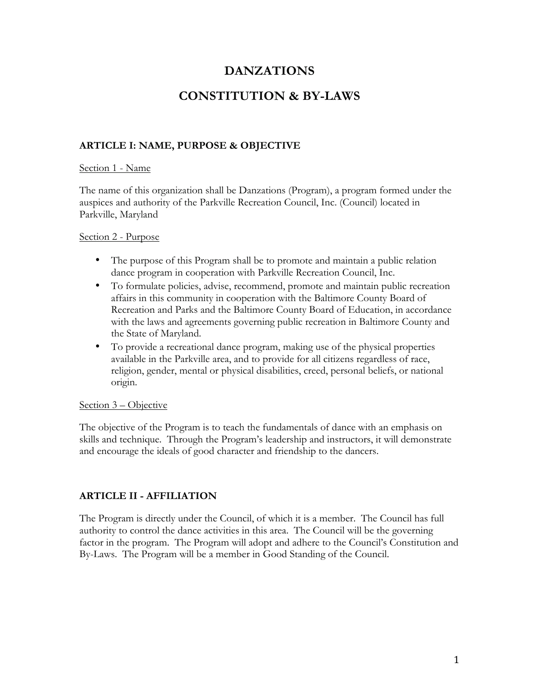# **DANZATIONS**

# **CONSTITUTION & BY-LAWS**

## **ARTICLE I: NAME, PURPOSE & OBJECTIVE**

#### Section 1 - Name

The name of this organization shall be Danzations (Program), a program formed under the auspices and authority of the Parkville Recreation Council, Inc. (Council) located in Parkville, Maryland

### Section 2 - Purpose

- The purpose of this Program shall be to promote and maintain a public relation dance program in cooperation with Parkville Recreation Council, Inc.
- To formulate policies, advise, recommend, promote and maintain public recreation affairs in this community in cooperation with the Baltimore County Board of Recreation and Parks and the Baltimore County Board of Education, in accordance with the laws and agreements governing public recreation in Baltimore County and the State of Maryland.
- To provide a recreational dance program, making use of the physical properties available in the Parkville area, and to provide for all citizens regardless of race, religion, gender, mental or physical disabilities, creed, personal beliefs, or national origin.

### Section 3 – Objective

The objective of the Program is to teach the fundamentals of dance with an emphasis on skills and technique. Through the Program's leadership and instructors, it will demonstrate and encourage the ideals of good character and friendship to the dancers.

## **ARTICLE II - AFFILIATION**

The Program is directly under the Council, of which it is a member. The Council has full authority to control the dance activities in this area. The Council will be the governing factor in the program. The Program will adopt and adhere to the Council's Constitution and By-Laws. The Program will be a member in Good Standing of the Council.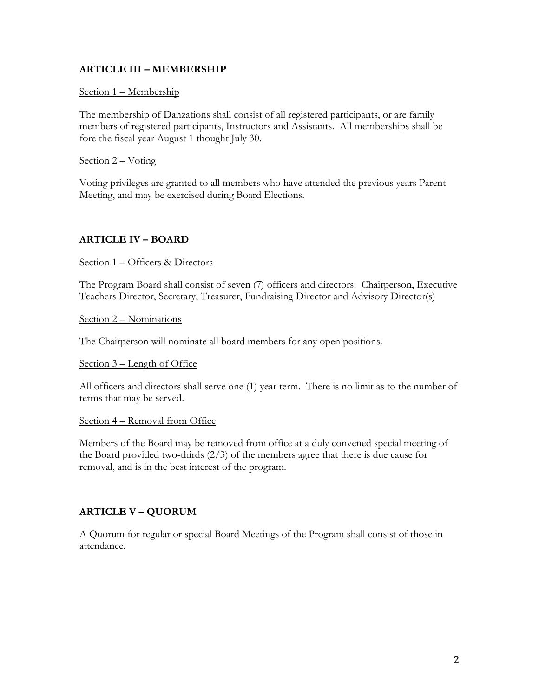## **ARTICLE III – MEMBERSHIP**

### Section 1 – Membership

The membership of Danzations shall consist of all registered participants, or are family members of registered participants, Instructors and Assistants. All memberships shall be fore the fiscal year August 1 thought July 30.

### Section 2 – Voting

Voting privileges are granted to all members who have attended the previous years Parent Meeting, and may be exercised during Board Elections.

## **ARTICLE IV – BOARD**

#### Section 1 – Officers & Directors

The Program Board shall consist of seven (7) officers and directors: Chairperson, Executive Teachers Director, Secretary, Treasurer, Fundraising Director and Advisory Director(s)

Section 2 – Nominations

The Chairperson will nominate all board members for any open positions.

#### Section 3 – Length of Office

All officers and directors shall serve one (1) year term. There is no limit as to the number of terms that may be served.

#### Section 4 – Removal from Office

Members of the Board may be removed from office at a duly convened special meeting of the Board provided two-thirds (2/3) of the members agree that there is due cause for removal, and is in the best interest of the program.

## **ARTICLE V – QUORUM**

A Quorum for regular or special Board Meetings of the Program shall consist of those in attendance.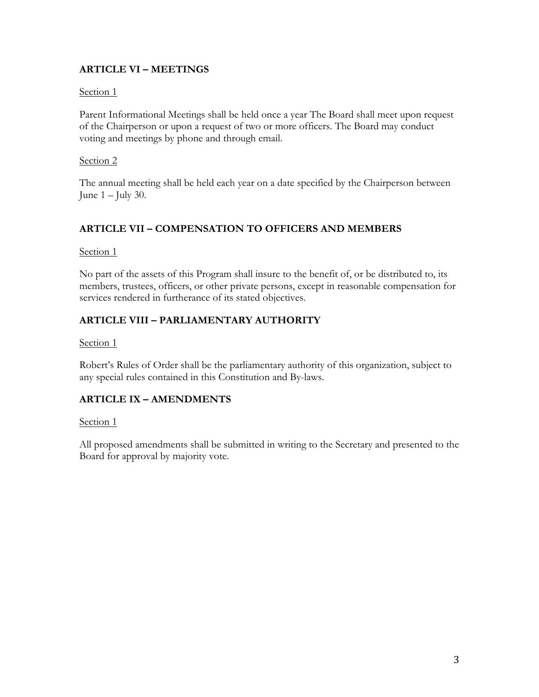# **ARTICLE VI – MEETINGS**

## Section 1

Parent Informational Meetings shall be held once a year The Board shall meet upon request of the Chairperson or upon a request of two or more officers. The Board may conduct voting and meetings by phone and through email.

## Section 2

The annual meeting shall be held each year on a date specified by the Chairperson between June  $1 -$  July 30.

# **ARTICLE VII – COMPENSATION TO OFFICERS AND MEMBERS**

Section 1

No part of the assets of this Program shall insure to the benefit of, or be distributed to, its members, trustees, officers, or other private persons, except in reasonable compensation for services rendered in furtherance of its stated objectives.

# **ARTICLE VIII – PARLIAMENTARY AUTHORITY**

Section 1

Robert's Rules of Order shall be the parliamentary authority of this organization, subject to any special rules contained in this Constitution and By-laws.

# **ARTICLE IX – AMENDMENTS**

### Section 1

All proposed amendments shall be submitted in writing to the Secretary and presented to the Board for approval by majority vote.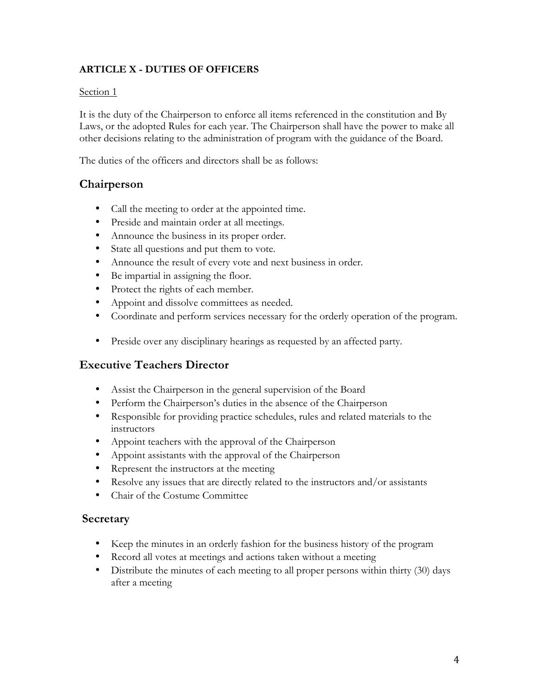# **ARTICLE X - DUTIES OF OFFICERS**

### Section 1

It is the duty of the Chairperson to enforce all items referenced in the constitution and By Laws, or the adopted Rules for each year. The Chairperson shall have the power to make all other decisions relating to the administration of program with the guidance of the Board.

The duties of the officers and directors shall be as follows:

# **Chairperson**

- Call the meeting to order at the appointed time.
- Preside and maintain order at all meetings.
- Announce the business in its proper order.
- State all questions and put them to vote.
- Announce the result of every vote and next business in order.
- Be impartial in assigning the floor.
- Protect the rights of each member.
- Appoint and dissolve committees as needed.
- Coordinate and perform services necessary for the orderly operation of the program.
- Preside over any disciplinary hearings as requested by an affected party.

# **Executive Teachers Director**

- Assist the Chairperson in the general supervision of the Board
- Perform the Chairperson's duties in the absence of the Chairperson
- Responsible for providing practice schedules, rules and related materials to the instructors
- Appoint teachers with the approval of the Chairperson
- Appoint assistants with the approval of the Chairperson
- Represent the instructors at the meeting
- Resolve any issues that are directly related to the instructors and/or assistants
- Chair of the Costume Committee

## **Secretary**

- Keep the minutes in an orderly fashion for the business history of the program
- Record all votes at meetings and actions taken without a meeting
- Distribute the minutes of each meeting to all proper persons within thirty (30) days after a meeting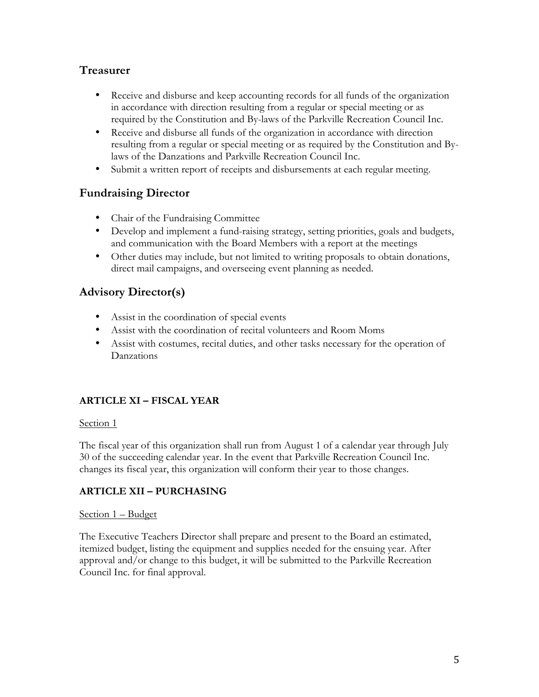# **Treasurer**

- Receive and disburse and keep accounting records for all funds of the organization in accordance with direction resulting from a regular or special meeting or as required by the Constitution and By-laws of the Parkville Recreation Council Inc.
- Receive and disburse all funds of the organization in accordance with direction resulting from a regular or special meeting or as required by the Constitution and Bylaws of the Danzations and Parkville Recreation Council Inc.
- Submit a written report of receipts and disbursements at each regular meeting.

# **Fundraising Director**

- Chair of the Fundraising Committee
- Develop and implement a fund-raising strategy, setting priorities, goals and budgets, and communication with the Board Members with a report at the meetings
- Other duties may include, but not limited to writing proposals to obtain donations, direct mail campaigns, and overseeing event planning as needed.

# **Advisory Director(s)**

- Assist in the coordination of special events
- Assist with the coordination of recital volunteers and Room Moms
- Assist with costumes, recital duties, and other tasks necessary for the operation of Danzations

# **ARTICLE XI – FISCAL YEAR**

### Section 1

The fiscal year of this organization shall run from August 1 of a calendar year through July 30 of the succeeding calendar year. In the event that Parkville Recreation Council Inc. changes its fiscal year, this organization will conform their year to those changes.

## **ARTICLE XII – PURCHASING**

### Section 1 – Budget

The Executive Teachers Director shall prepare and present to the Board an estimated, itemized budget, listing the equipment and supplies needed for the ensuing year. After approval and/or change to this budget, it will be submitted to the Parkville Recreation Council Inc. for final approval.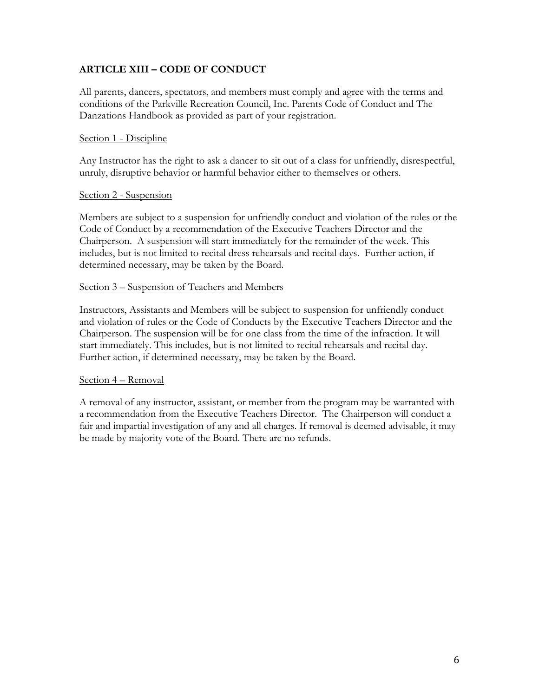## **ARTICLE XIII – CODE OF CONDUCT**

All parents, dancers, spectators, and members must comply and agree with the terms and conditions of the Parkville Recreation Council, Inc. Parents Code of Conduct and The Danzations Handbook as provided as part of your registration.

### Section 1 - Discipline

Any Instructor has the right to ask a dancer to sit out of a class for unfriendly, disrespectful, unruly, disruptive behavior or harmful behavior either to themselves or others.

#### Section 2 - Suspension

Members are subject to a suspension for unfriendly conduct and violation of the rules or the Code of Conduct by a recommendation of the Executive Teachers Director and the Chairperson. A suspension will start immediately for the remainder of the week. This includes, but is not limited to recital dress rehearsals and recital days. Further action, if determined necessary, may be taken by the Board.

### Section 3 – Suspension of Teachers and Members

Instructors, Assistants and Members will be subject to suspension for unfriendly conduct and violation of rules or the Code of Conducts by the Executive Teachers Director and the Chairperson. The suspension will be for one class from the time of the infraction. It will start immediately. This includes, but is not limited to recital rehearsals and recital day. Further action, if determined necessary, may be taken by the Board.

#### Section 4 – Removal

A removal of any instructor, assistant, or member from the program may be warranted with a recommendation from the Executive Teachers Director. The Chairperson will conduct a fair and impartial investigation of any and all charges. If removal is deemed advisable, it may be made by majority vote of the Board. There are no refunds.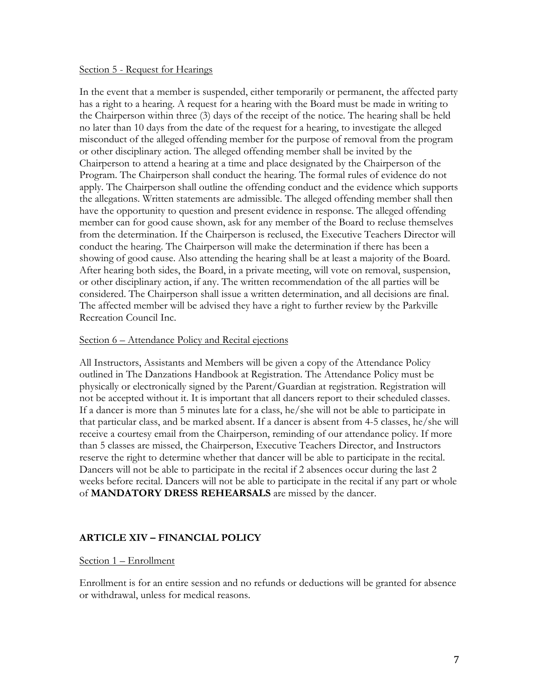#### Section 5 - Request for Hearings

In the event that a member is suspended, either temporarily or permanent, the affected party has a right to a hearing. A request for a hearing with the Board must be made in writing to the Chairperson within three (3) days of the receipt of the notice. The hearing shall be held no later than 10 days from the date of the request for a hearing, to investigate the alleged misconduct of the alleged offending member for the purpose of removal from the program or other disciplinary action. The alleged offending member shall be invited by the Chairperson to attend a hearing at a time and place designated by the Chairperson of the Program. The Chairperson shall conduct the hearing. The formal rules of evidence do not apply. The Chairperson shall outline the offending conduct and the evidence which supports the allegations. Written statements are admissible. The alleged offending member shall then have the opportunity to question and present evidence in response. The alleged offending member can for good cause shown, ask for any member of the Board to recluse themselves from the determination. If the Chairperson is reclused, the Executive Teachers Director will conduct the hearing. The Chairperson will make the determination if there has been a showing of good cause. Also attending the hearing shall be at least a majority of the Board. After hearing both sides, the Board, in a private meeting, will vote on removal, suspension, or other disciplinary action, if any. The written recommendation of the all parties will be considered. The Chairperson shall issue a written determination, and all decisions are final. The affected member will be advised they have a right to further review by the Parkville Recreation Council Inc.

#### Section 6 – Attendance Policy and Recital ejections

All Instructors, Assistants and Members will be given a copy of the Attendance Policy outlined in The Danzations Handbook at Registration. The Attendance Policy must be physically or electronically signed by the Parent/Guardian at registration. Registration will not be accepted without it. It is important that all dancers report to their scheduled classes. If a dancer is more than 5 minutes late for a class, he/she will not be able to participate in that particular class, and be marked absent. If a dancer is absent from 4-5 classes, he/she will receive a courtesy email from the Chairperson, reminding of our attendance policy. If more than 5 classes are missed, the Chairperson, Executive Teachers Director, and Instructors reserve the right to determine whether that dancer will be able to participate in the recital. Dancers will not be able to participate in the recital if 2 absences occur during the last 2 weeks before recital. Dancers will not be able to participate in the recital if any part or whole of **MANDATORY DRESS REHEARSALS** are missed by the dancer.

### **ARTICLE XIV – FINANCIAL POLICY**

#### Section 1 – Enrollment

Enrollment is for an entire session and no refunds or deductions will be granted for absence or withdrawal, unless for medical reasons.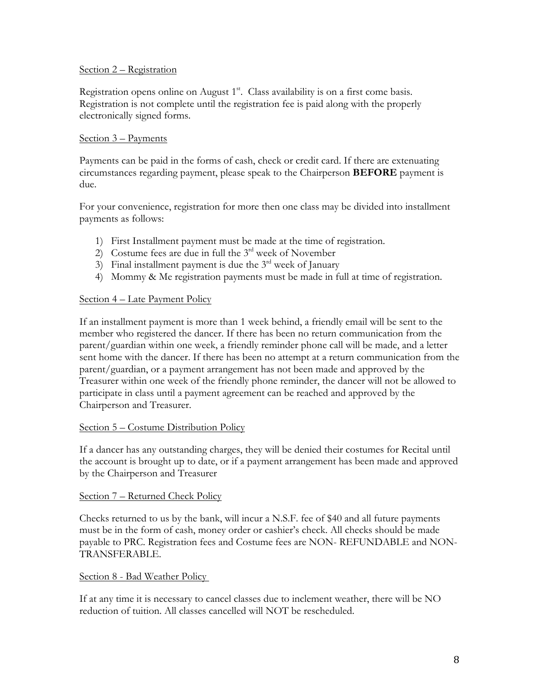### Section 2 – Registration

Registration opens online on August 1<sup>st</sup>. Class availability is on a first come basis. Registration is not complete until the registration fee is paid along with the properly electronically signed forms.

### Section 3 – Payments

Payments can be paid in the forms of cash, check or credit card. If there are extenuating circumstances regarding payment, please speak to the Chairperson **BEFORE** payment is due.

For your convenience, registration for more then one class may be divided into installment payments as follows:

- 1) First Installment payment must be made at the time of registration.
- 2) Costume fees are due in full the  $3<sup>rd</sup>$  week of November
- $3)$  Final installment payment is due the  $3<sup>rd</sup>$  week of January
- 4) Mommy & Me registration payments must be made in full at time of registration.

### Section 4 – Late Payment Policy

If an installment payment is more than 1 week behind, a friendly email will be sent to the member who registered the dancer. If there has been no return communication from the parent/guardian within one week, a friendly reminder phone call will be made, and a letter sent home with the dancer. If there has been no attempt at a return communication from the parent/guardian, or a payment arrangement has not been made and approved by the Treasurer within one week of the friendly phone reminder, the dancer will not be allowed to participate in class until a payment agreement can be reached and approved by the Chairperson and Treasurer.

#### Section 5 – Costume Distribution Policy

If a dancer has any outstanding charges, they will be denied their costumes for Recital until the account is brought up to date, or if a payment arrangement has been made and approved by the Chairperson and Treasurer

#### Section 7 – Returned Check Policy

Checks returned to us by the bank, will incur a N.S.F. fee of \$40 and all future payments must be in the form of cash, money order or cashier's check. All checks should be made payable to PRC. Registration fees and Costume fees are NON- REFUNDABLE and NON-TRANSFERABLE.

#### Section 8 - Bad Weather Policy

If at any time it is necessary to cancel classes due to inclement weather, there will be NO reduction of tuition. All classes cancelled will NOT be rescheduled.